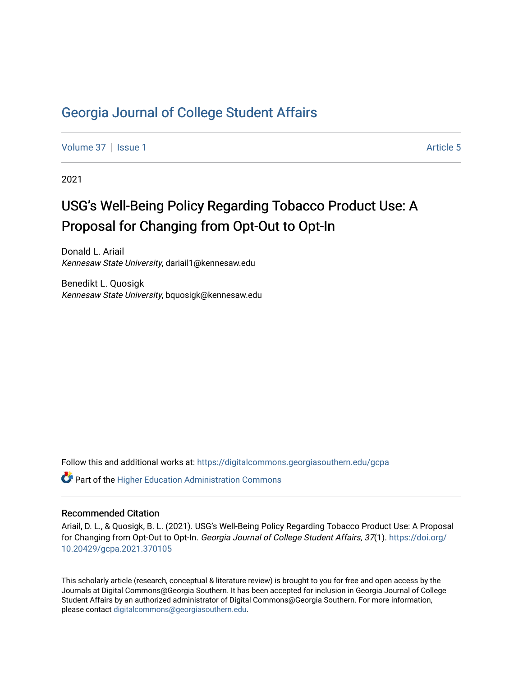# [Georgia Journal of College Student Affairs](https://digitalcommons.georgiasouthern.edu/gcpa)

[Volume 37](https://digitalcommons.georgiasouthern.edu/gcpa/vol37) | [Issue 1](https://digitalcommons.georgiasouthern.edu/gcpa/vol37/iss1) Article 5

2021

# USG's Well-Being Policy Regarding Tobacco Product Use: A Proposal for Changing from Opt-Out to Opt-In

Donald L. Ariail Kennesaw State University, dariail1@kennesaw.edu

Benedikt L. Quosigk Kennesaw State University, bquosigk@kennesaw.edu

Follow this and additional works at: [https://digitalcommons.georgiasouthern.edu/gcpa](https://digitalcommons.georgiasouthern.edu/gcpa?utm_source=digitalcommons.georgiasouthern.edu%2Fgcpa%2Fvol37%2Fiss1%2F5&utm_medium=PDF&utm_campaign=PDFCoverPages) 

 $\mathbf C^{\mathsf a}$  Part of the Higher Education Administration Commons

#### Recommended Citation

Ariail, D. L., & Quosigk, B. L. (2021). USG's Well-Being Policy Regarding Tobacco Product Use: A Proposal for Changing from Opt-Out to Opt-In. Georgia Journal of College Student Affairs, 37(1). [https://doi.org/](https://doi.org/10.20429/gcpa.2021.370105) [10.20429/gcpa.2021.370105](https://doi.org/10.20429/gcpa.2021.370105)

This scholarly article (research, conceptual & literature review) is brought to you for free and open access by the Journals at Digital Commons@Georgia Southern. It has been accepted for inclusion in Georgia Journal of College Student Affairs by an authorized administrator of Digital Commons@Georgia Southern. For more information, please contact [digitalcommons@georgiasouthern.edu.](mailto:digitalcommons@georgiasouthern.edu)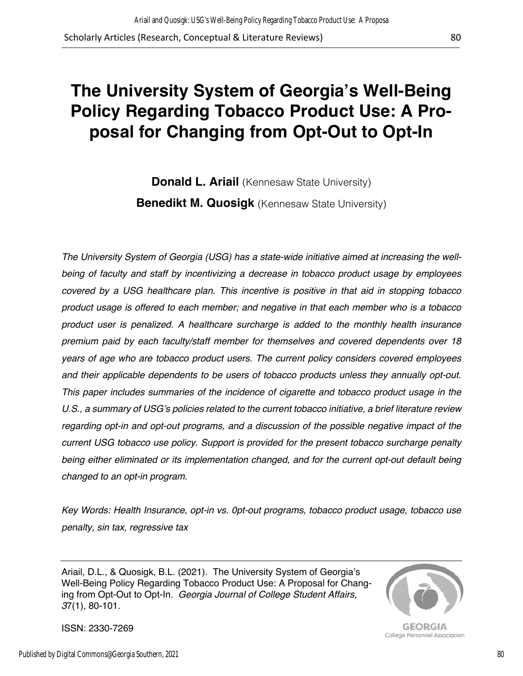# **The University System of Georgia's Well-Being Policy Regarding Tobacco Product Use: A Proposal for Changing from Opt-Out to Opt-In**

**Donald L. Ariail** (Kennesaw State University) **Benedikt M. Quosigk** (Kennesaw State University)

*The University System of Georgia (USG) has a state-wide initiative aimed at increasing the wellbeing of faculty and staff by incentivizing a decrease in tobacco product usage by employees covered by a USG healthcare plan. This incentive is positive in that aid in stopping tobacco product usage is offered to each member; and negative in that each member who is a tobacco product user is penalized. A healthcare surcharge is added to the monthly health insurance premium paid by each faculty/staff member for themselves and covered dependents over 18 years of age who are tobacco product users. The current policy considers covered employees and their applicable dependents to be users of tobacco products unless they annually opt-out. This paper includes summaries of the incidence of cigarette and tobacco product usage in the U.S., a summary of USG's policies related to the current tobacco initiative, a brief literature review regarding opt-in and opt-out programs, and a discussion of the possible negative impact of the current USG tobacco use policy. Support is provided for the present tobacco surcharge penalty being either eliminated or its implementation changed, and for the current opt-out default being changed to an opt-in program.* 

*Key Words: Health Insurance, opt-in vs. 0pt-out programs, tobacco product usage, tobacco use penalty, sin tax, regressive tax*

Ariail, D.L., & Quosigk, B.L. (2021). The University System of Georgia's Well-Being Policy Regarding Tobacco Product Use: A Proposal for Changing from Opt-Out to Opt-In*. Georgia Journal of College Student Affairs, 3*7(1), 80-101.



GEORGIA College Personnel Association

ISSN: 2330-7269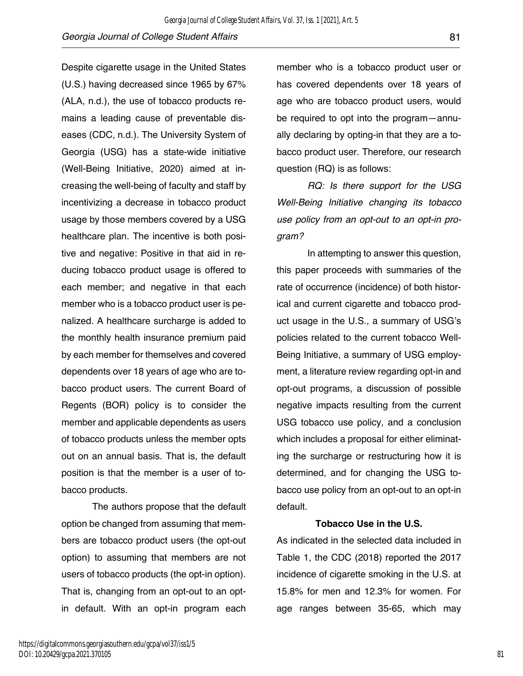Despite cigarette usage in the United States (U.S.) having decreased since 1965 by 67% (ALA, n.d.), the use of tobacco products remains a leading cause of preventable diseases (CDC, n.d.). The University System of Georgia (USG) has a state-wide initiative (Well-Being Initiative, 2020) aimed at increasing the well-being of faculty and staff by incentivizing a decrease in tobacco product usage by those members covered by a USG healthcare plan. The incentive is both positive and negative: Positive in that aid in reducing tobacco product usage is offered to each member; and negative in that each member who is a tobacco product user is penalized. A healthcare surcharge is added to the monthly health insurance premium paid by each member for themselves and covered dependents over 18 years of age who are tobacco product users. The current Board of Regents (BOR) policy is to consider the member and applicable dependents as users of tobacco products unless the member opts out on an annual basis. That is, the default position is that the member is a user of tobacco products.

The authors propose that the default option be changed from assuming that members are tobacco product users (the opt-out option) to assuming that members are not users of tobacco products (the opt-in option). That is, changing from an opt-out to an optin default. With an opt-in program each

member who is a tobacco product user or has covered dependents over 18 years of age who are tobacco product users, would be required to opt into the program—annually declaring by opting-in that they are a tobacco product user. Therefore, our research question (RQ) is as follows:

*RQ: Is there support for the USG Well-Being Initiative changing its tobacco use policy from an opt-out to an opt-in program?*

In attempting to answer this question, this paper proceeds with summaries of the rate of occurrence (incidence) of both historical and current cigarette and tobacco product usage in the U.S., a summary of USG's policies related to the current tobacco Well-Being Initiative, a summary of USG employment, a literature review regarding opt-in and opt-out programs, a discussion of possible negative impacts resulting from the current USG tobacco use policy, and a conclusion which includes a proposal for either eliminating the surcharge or restructuring how it is determined, and for changing the USG tobacco use policy from an opt-out to an opt-in default.

### **Tobacco Use in the U.S.**

As indicated in the selected data included in Table 1, the CDC (2018) reported the 2017 incidence of cigarette smoking in the U.S. at 15.8% for men and 12.3% for women. For age ranges between 35-65, which may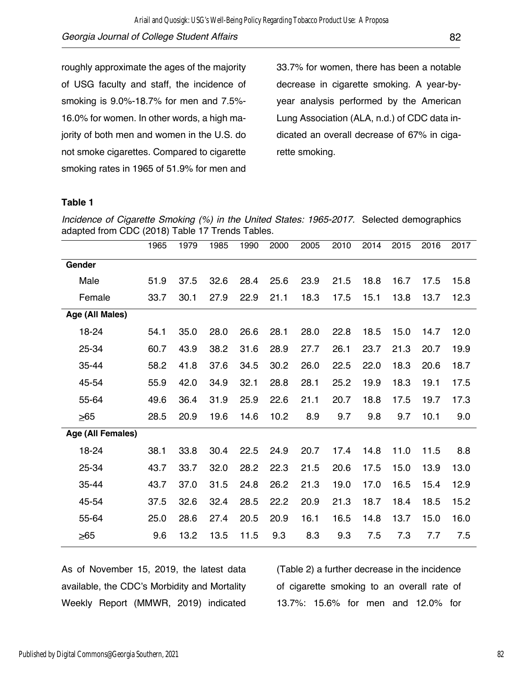roughly approximate the ages of the majority of USG faculty and staff, the incidence of smoking is 9.0%-18.7% for men and 7.5%- 16.0% for women. In other words, a high majority of both men and women in the U.S. do not smoke cigarettes. Compared to cigarette smoking rates in 1965 of 51.9% for men and

33.7% for women, there has been a notable decrease in cigarette smoking. A year-byyear analysis performed by the American Lung Association (ALA, n.d.) of CDC data indicated an overall decrease of 67% in cigarette smoking.

### **Table 1**

*Incidence of Cigarette Smoking (%) in the United States: 1965-2017.* Selected demographics adapted from CDC (2018) Table 17 Trends Tables.

|                   | 1965 | 1979 | 1985 | 1990 | 2000 | 2005 | 2010 | 2014 | 2015 | 2016 | 2017 |
|-------------------|------|------|------|------|------|------|------|------|------|------|------|
| Gender            |      |      |      |      |      |      |      |      |      |      |      |
| Male              | 51.9 | 37.5 | 32.6 | 28.4 | 25.6 | 23.9 | 21.5 | 18.8 | 16.7 | 17.5 | 15.8 |
| Female            | 33.7 | 30.1 | 27.9 | 22.9 | 21.1 | 18.3 | 17.5 | 15.1 | 13.8 | 13.7 | 12.3 |
| Age (All Males)   |      |      |      |      |      |      |      |      |      |      |      |
| 18-24             | 54.1 | 35.0 | 28.0 | 26.6 | 28.1 | 28.0 | 22.8 | 18.5 | 15.0 | 14.7 | 12.0 |
| 25-34             | 60.7 | 43.9 | 38.2 | 31.6 | 28.9 | 27.7 | 26.1 | 23.7 | 21.3 | 20.7 | 19.9 |
| 35-44             | 58.2 | 41.8 | 37.6 | 34.5 | 30.2 | 26.0 | 22.5 | 22.0 | 18.3 | 20.6 | 18.7 |
| 45-54             | 55.9 | 42.0 | 34.9 | 32.1 | 28.8 | 28.1 | 25.2 | 19.9 | 18.3 | 19.1 | 17.5 |
| 55-64             | 49.6 | 36.4 | 31.9 | 25.9 | 22.6 | 21.1 | 20.7 | 18.8 | 17.5 | 19.7 | 17.3 |
| $\geq 65$         | 28.5 | 20.9 | 19.6 | 14.6 | 10.2 | 8.9  | 9.7  | 9.8  | 9.7  | 10.1 | 9.0  |
| Age (All Females) |      |      |      |      |      |      |      |      |      |      |      |
| 18-24             | 38.1 | 33.8 | 30.4 | 22.5 | 24.9 | 20.7 | 17.4 | 14.8 | 11.0 | 11.5 | 8.8  |
| 25-34             | 43.7 | 33.7 | 32.0 | 28.2 | 22.3 | 21.5 | 20.6 | 17.5 | 15.0 | 13.9 | 13.0 |
| 35-44             | 43.7 | 37.0 | 31.5 | 24.8 | 26.2 | 21.3 | 19.0 | 17.0 | 16.5 | 15.4 | 12.9 |
| 45-54             | 37.5 | 32.6 | 32.4 | 28.5 | 22.2 | 20.9 | 21.3 | 18.7 | 18.4 | 18.5 | 15.2 |
| 55-64             | 25.0 | 28.6 | 27.4 | 20.5 | 20.9 | 16.1 | 16.5 | 14.8 | 13.7 | 15.0 | 16.0 |
| $\geq 65$         | 9.6  | 13.2 | 13.5 | 11.5 | 9.3  | 8.3  | 9.3  | 7.5  | 7.3  | 7.7  | 7.5  |

As of November 15, 2019, the latest data available, the CDC's Morbidity and Mortality Weekly Report (MMWR, 2019) indicated

(Table 2) a further decrease in the incidence of cigarette smoking to an overall rate of 13.7%: 15.6% for men and 12.0% for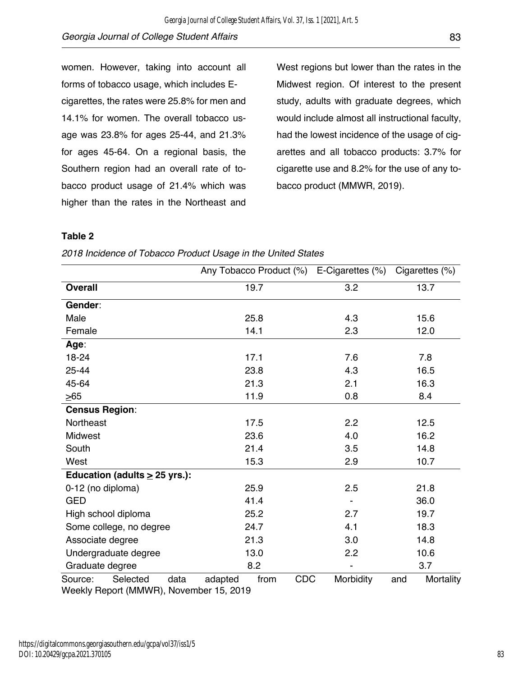women. However, taking into account all forms of tobacco usage, which includes Ecigarettes, the rates were 25.8% for men and 14.1% for women. The overall tobacco usage was 23.8% for ages 25-44, and 21.3% for ages 45-64. On a regional basis, the Southern region had an overall rate of tobacco product usage of 21.4% which was higher than the rates in the Northeast and

West regions but lower than the rates in the Midwest region. Of interest to the present study, adults with graduate degrees, which would include almost all instructional faculty, had the lowest incidence of the usage of cigarettes and all tobacco products: 3.7% for cigarette use and 8.2% for the use of any tobacco product (MMWR, 2019).

### **Table 2**

|                                         | Any Tobacco Product (%)       | E-Cigarettes (%) | Cigarettes (%)   |  |
|-----------------------------------------|-------------------------------|------------------|------------------|--|
| <b>Overall</b>                          | 19.7                          | 3.2              | 13.7             |  |
| Gender:                                 |                               |                  |                  |  |
| Male                                    | 25.8                          | 4.3              | 15.6             |  |
| Female                                  | 14.1                          | 2.3              | 12.0             |  |
| Age:                                    |                               |                  |                  |  |
| 18-24                                   | 17.1                          | 7.6              | 7.8              |  |
| 25-44                                   | 23.8                          | 4.3              | 16.5             |  |
| 45-64                                   | 21.3                          | 2.1              | 16.3             |  |
| $\geq 65$                               | 11.9                          | 0.8              | 8.4              |  |
| <b>Census Region:</b>                   |                               |                  |                  |  |
| Northeast                               | 17.5                          | 2.2              | 12.5             |  |
| <b>Midwest</b>                          | 23.6                          | 4.0              | 16.2             |  |
| South                                   | 21.4                          | 3.5              | 14.8             |  |
| West                                    | 15.3                          | 2.9              | 10.7             |  |
| Education (adults $\geq$ 25 yrs.):      |                               |                  |                  |  |
| 0-12 (no diploma)                       | 25.9                          | 2.5              | 21.8             |  |
| <b>GED</b>                              | 41.4                          |                  | 36.0             |  |
| High school diploma                     | 25.2                          | 2.7              | 19.7             |  |
| Some college, no degree                 | 24.7                          | 4.1              | 18.3             |  |
| Associate degree                        | 21.3                          | 3.0              | 14.8             |  |
| Undergraduate degree                    | 13.0                          | 2.2              | 10.6             |  |
| Graduate degree                         | 8.2                           |                  | 3.7              |  |
| Selected<br>data<br>Source:             | adapted<br><b>CDC</b><br>from | Morbidity        | Mortality<br>and |  |
| Weekly Report (MMWR), November 15, 2019 |                               |                  |                  |  |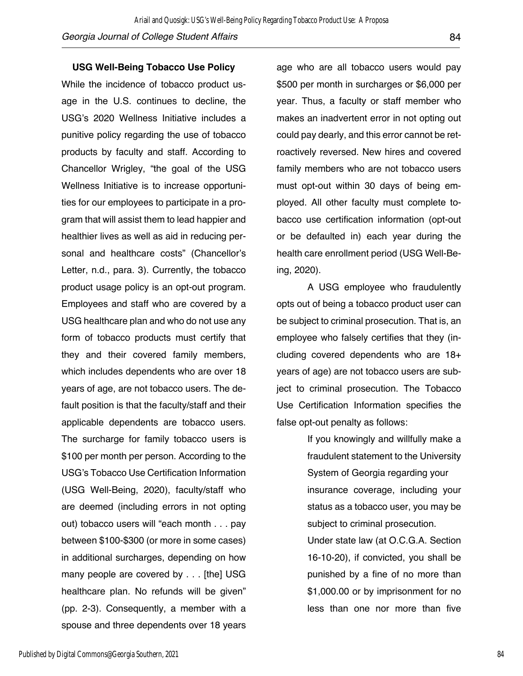#### **USG Well-Being Tobacco Use Policy**

While the incidence of tobacco product usage in the U.S. continues to decline, the USG's 2020 Wellness Initiative includes a punitive policy regarding the use of tobacco products by faculty and staff. According to Chancellor Wrigley, "the goal of the USG Wellness Initiative is to increase opportunities for our employees to participate in a program that will assist them to lead happier and healthier lives as well as aid in reducing personal and healthcare costs" (Chancellor's Letter, n.d., para. 3). Currently, the tobacco product usage policy is an opt-out program. Employees and staff who are covered by a USG healthcare plan and who do not use any form of tobacco products must certify that they and their covered family members, which includes dependents who are over 18 years of age, are not tobacco users. The default position is that the faculty/staff and their applicable dependents are tobacco users. The surcharge for family tobacco users is \$100 per month per person. According to the USG's Tobacco Use Certification Information (USG Well-Being, 2020), faculty/staff who are deemed (including errors in not opting out) tobacco users will "each month . . . pay between \$100-\$300 (or more in some cases) in additional surcharges, depending on how many people are covered by . . . [the] USG healthcare plan. No refunds will be given" (pp. 2-3). Consequently, a member with a spouse and three dependents over 18 years

age who are all tobacco users would pay \$500 per month in surcharges or \$6,000 per year. Thus, a faculty or staff member who makes an inadvertent error in not opting out could pay dearly, and this error cannot be retroactively reversed. New hires and covered family members who are not tobacco users must opt-out within 30 days of being employed. All other faculty must complete tobacco use certification information (opt-out or be defaulted in) each year during the health care enrollment period (USG Well-Being, 2020).

A USG employee who fraudulently opts out of being a tobacco product user can be subject to criminal prosecution. That is, an employee who falsely certifies that they (including covered dependents who are 18+ years of age) are not tobacco users are subject to criminal prosecution. The Tobacco Use Certification Information specifies the false opt-out penalty as follows:

> If you knowingly and willfully make a fraudulent statement to the University System of Georgia regarding your insurance coverage, including your status as a tobacco user, you may be subject to criminal prosecution.

> Under state law (at O.C.G.A. Section 16-10-20), if convicted, you shall be punished by a fine of no more than \$1,000.00 or by imprisonment for no less than one nor more than five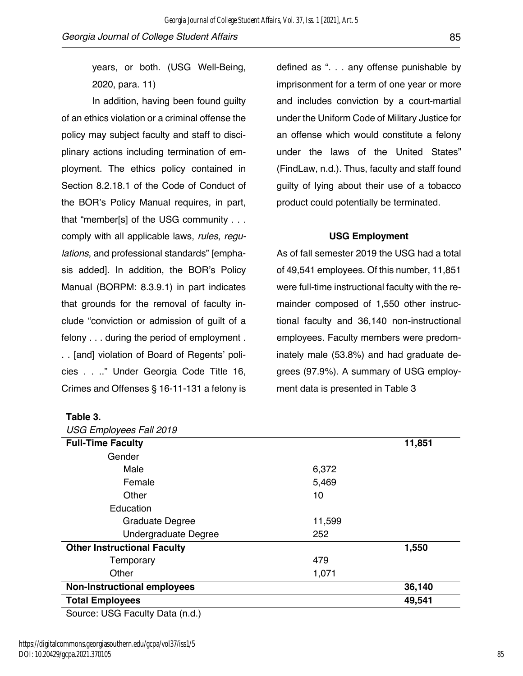years, or both. (USG Well-Being, 2020, para. 11)

In addition, having been found guilty of an ethics violation or a criminal offense the policy may subject faculty and staff to disciplinary actions including termination of employment. The ethics policy contained in Section 8.2.18.1 of the Code of Conduct of the BOR's Policy Manual requires, in part, that "member[s] of the USG community . . . comply with all applicable laws, *rules*, *regulations*, and professional standards" [emphasis added]. In addition, the BOR's Policy Manual (BORPM: 8.3.9.1) in part indicates that grounds for the removal of faculty include "conviction or admission of guilt of a felony . . . during the period of employment . . . [and] violation of Board of Regents' policies . . .." Under Georgia Code Title 16, Crimes and Offenses § 16-11-131 a felony is

defined as ". . . any offense punishable by imprisonment for a term of one year or more and includes conviction by a court-martial under the Uniform Code of Military Justice for an offense which would constitute a felony under the laws of the United States" (FindLaw, n.d.). Thus, faculty and staff found guilty of lying about their use of a tobacco product could potentially be terminated.

### **USG Employment**

As of fall semester 2019 the USG had a total of 49,541 employees. Of this number, 11,851 were full-time instructional faculty with the remainder composed of 1,550 other instructional faculty and 36,140 non-instructional employees. Faculty members were predominately male (53.8%) and had graduate degrees (97.9%). A summary of USG employment data is presented in Table 3

| <b>USG Employees Fall 2019</b>                |        |        |
|-----------------------------------------------|--------|--------|
| <b>Full-Time Faculty</b>                      |        | 11,851 |
| Gender                                        |        |        |
| Male                                          | 6,372  |        |
| Female                                        | 5,469  |        |
| Other                                         | 10     |        |
| Education                                     |        |        |
| <b>Graduate Degree</b>                        | 11,599 |        |
| Undergraduate Degree                          | 252    |        |
| <b>Other Instructional Faculty</b>            |        | 1,550  |
| Temporary                                     | 479    |        |
| Other                                         | 1,071  |        |
| <b>Non-Instructional employees</b>            |        | 36,140 |
| <b>Total Employees</b>                        |        | 49,541 |
| $P_{\text{out}}(n, l)$ $P_{\text{out}}(n, l)$ |        |        |

Source: USG Faculty Data (n.d.)

**Table 3.**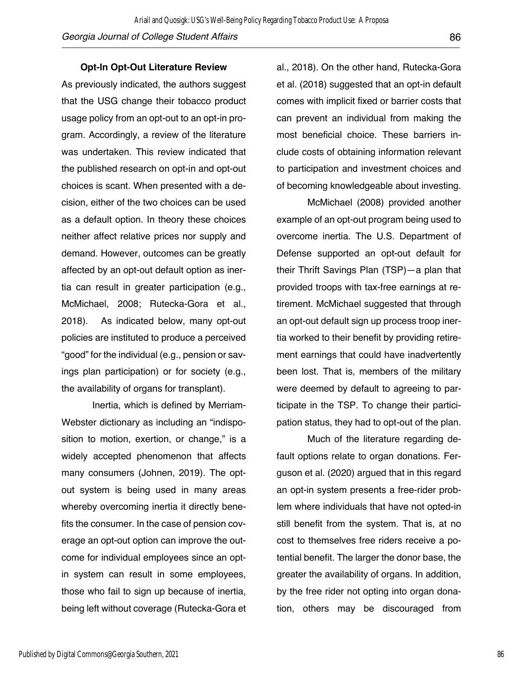in system can result in some employees,

ings plan participation) or for society (e.g., the availability of organs for transplant).

Inertia, which is defined by Merriam-

Webster dictionary as including an "indisposition to motion, exertion, or change," is a widely accepted phenomenon that affects

many consumers (Johnen, 2019). The optout system is being used in many areas whereby overcoming inertia it directly benefits the consumer. In the case of pension coverage an opt-out option can improve the out-

come for individual employees since an opt-

those who fail to sign up because of inertia, being left without coverage (Rutecka-Gora et

tia can result in greater participation (e.g., McMichael, 2008; Rutecka-Gora et al., 2018). As indicated below, many opt-out policies are instituted to produce a perceived "good" for the individual (e.g., pension or sav-

as a default option. In theory these choices neither affect relative prices nor supply and

**Opt-In Opt-Out Literature Review**

As previously indicated, the authors suggest that the USG change their tobacco product usage policy from an opt-out to an opt-in program. Accordingly, a review of the literature was undertaken. This review indicated that the published research on opt-in and opt-out choices is scant. When presented with a decision, either of the two choices can be used

demand. However, outcomes can be greatly affected by an opt-out default option as iner-

*Georgia Journal of College Student Affairs* 86

Ariail and Quosigk: USG's Well-Being Policy Regarding Tobacco Product Use: A Proposa

al., 2018). On the other hand, Rutecka-Gora et al. (2018) suggested that an opt-in default comes with implicit fixed or barrier costs that can prevent an individual from making the most beneficial choice. These barriers include costs of obtaining information relevant to participation and investment choices and of becoming knowledgeable about investing.

McMichael (2008) provided another example of an opt-out program being used to overcome inertia. The U.S. Department of Defense supported an opt-out default for their Thrift Savings Plan (TSP)—a plan that provided troops with tax-free earnings at retirement. McMichael suggested that through an opt-out default sign up process troop inertia worked to their benefit by providing retirement earnings that could have inadvertently been lost. That is, members of the military were deemed by default to agreeing to participate in the TSP. To change their participation status, they had to opt-out of the plan.

Much of the literature regarding default options relate to organ donations. Ferguson et al. (2020) argued that in this regard an opt-in system presents a free-rider problem where individuals that have not opted-in still benefit from the system. That is, at no cost to themselves free riders receive a potential benefit. The larger the donor base, the greater the availability of organs. In addition, by the free rider not opting into organ donation, others may be discouraged from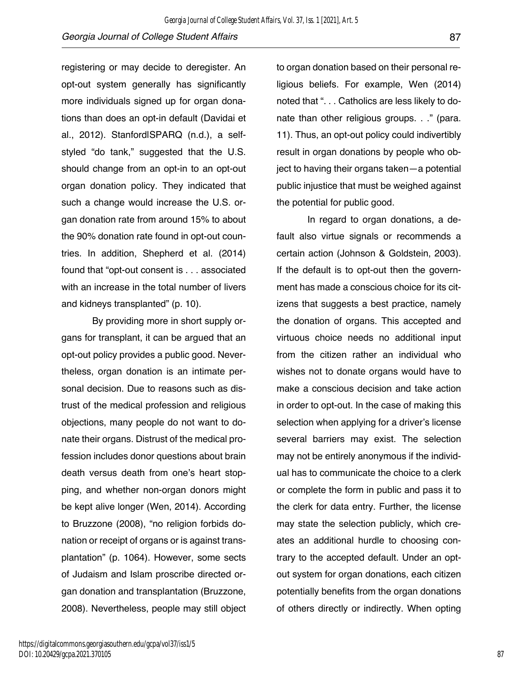registering or may decide to deregister. An opt-out system generally has significantly more individuals signed up for organ donations than does an opt-in default (Davidai et al., 2012). Stanford|SPARQ (n.d.), a selfstyled "do tank," suggested that the U.S. should change from an opt-in to an opt-out organ donation policy. They indicated that such a change would increase the U.S. organ donation rate from around 15% to about the 90% donation rate found in opt-out countries. In addition, Shepherd et al. (2014) found that "opt-out consent is . . . associated with an increase in the total number of livers and kidneys transplanted" (p. 10).

By providing more in short supply organs for transplant, it can be argued that an opt-out policy provides a public good. Nevertheless, organ donation is an intimate personal decision. Due to reasons such as distrust of the medical profession and religious objections, many people do not want to donate their organs. Distrust of the medical profession includes donor questions about brain death versus death from one's heart stopping, and whether non-organ donors might be kept alive longer (Wen, 2014). According to Bruzzone (2008), "no religion forbids donation or receipt of organs or is against transplantation" (p. 1064). However, some sects of Judaism and Islam proscribe directed organ donation and transplantation (Bruzzone, 2008). Nevertheless, people may still object to organ donation based on their personal religious beliefs. For example, Wen (2014) noted that ". . . Catholics are less likely to donate than other religious groups. . ." (para. 11). Thus, an opt-out policy could indivertibly result in organ donations by people who object to having their organs taken—a potential public injustice that must be weighed against the potential for public good.

In regard to organ donations, a default also virtue signals or recommends a certain action (Johnson & Goldstein, 2003). If the default is to opt-out then the government has made a conscious choice for its citizens that suggests a best practice, namely the donation of organs. This accepted and virtuous choice needs no additional input from the citizen rather an individual who wishes not to donate organs would have to make a conscious decision and take action in order to opt-out. In the case of making this selection when applying for a driver's license several barriers may exist. The selection may not be entirely anonymous if the individual has to communicate the choice to a clerk or complete the form in public and pass it to the clerk for data entry. Further, the license may state the selection publicly, which creates an additional hurdle to choosing contrary to the accepted default. Under an optout system for organ donations, each citizen potentially benefits from the organ donations of others directly or indirectly. When opting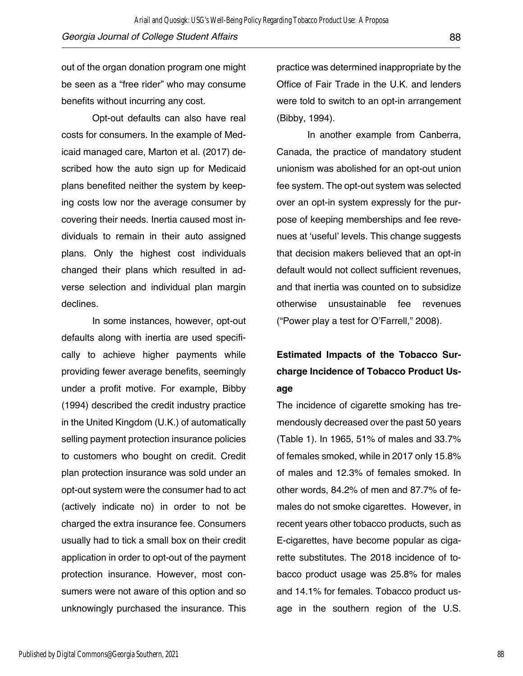*Georgia Journal of College Student Affairs* 88 Ariail and Quosigk: USG's Well-Being Policy Regarding Tobacco Product Use: A Proposa

out of the organ donation program one might be seen as a "free rider" who may consume benefits without incurring any cost.

Opt-out defaults can also have real costs for consumers. In the example of Medicaid managed care, Marton et al. (2017) described how the auto sign up for Medicaid plans benefited neither the system by keeping costs low nor the average consumer by covering their needs. Inertia caused most individuals to remain in their auto assigned plans. Only the highest cost individuals changed their plans which resulted in adverse selection and individual plan margin declines.

In some instances, however, opt-out defaults along with inertia are used specifically to achieve higher payments while providing fewer average benefits, seemingly under a profit motive. For example, Bibby (1994) described the credit industry practice in the United Kingdom (U.K.) of automatically selling payment protection insurance policies to customers who bought on credit. Credit plan protection insurance was sold under an opt-out system were the consumer had to act (actively indicate no) in order to not be charged the extra insurance fee. Consumers usually had to tick a small box on their credit application in order to opt-out of the payment protection insurance. However, most consumers were not aware of this option and so unknowingly purchased the insurance. This

practice was determined inappropriate by the Office of Fair Trade in the U.K. and lenders were told to switch to an opt-in arrangement (Bibby, 1994).

In another example from Canberra, Canada, the practice of mandatory student unionism was abolished for an opt-out union fee system. The opt-out system was selected over an opt-in system expressly for the purpose of keeping memberships and fee revenues at 'useful' levels. This change suggests that decision makers believed that an opt-in default would not collect sufficient revenues, and that inertia was counted on to subsidize otherwise unsustainable fee revenues ("Power play a test for O'Farrell," 2008).

# **Estimated Impacts of the Tobacco Surcharge Incidence of Tobacco Product Usage**

The incidence of cigarette smoking has tremendously decreased over the past 50 years (Table 1). In 1965, 51% of males and 33.7% of females smoked, while in 2017 only 15.8% of males and 12.3% of females smoked. In other words, 84.2% of men and 87.7% of females do not smoke cigarettes. However, in recent years other tobacco products, such as E-cigarettes, have become popular as cigarette substitutes. The 2018 incidence of tobacco product usage was 25.8% for males and 14.1% for females. Tobacco product usage in the southern region of the U.S.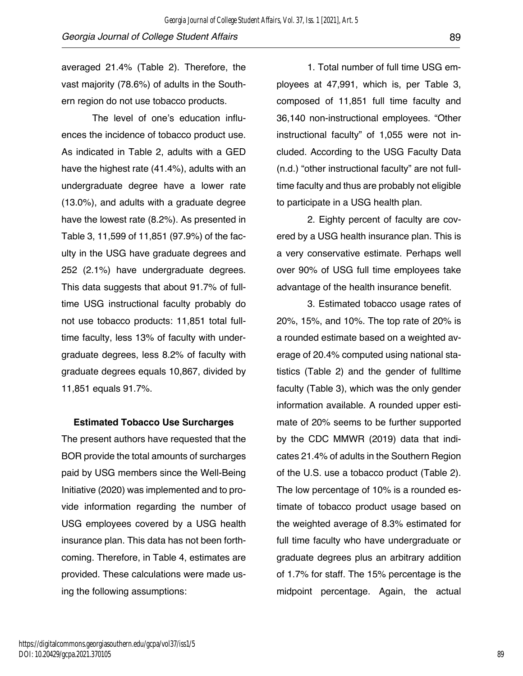averaged 21.4% (Table 2). Therefore, the vast majority (78.6%) of adults in the Southern region do not use tobacco products.

The level of one's education influences the incidence of tobacco product use. As indicated in Table 2, adults with a GED have the highest rate (41.4%), adults with an undergraduate degree have a lower rate (13.0%), and adults with a graduate degree have the lowest rate (8.2%). As presented in Table 3, 11,599 of 11,851 (97.9%) of the faculty in the USG have graduate degrees and 252 (2.1%) have undergraduate degrees. This data suggests that about 91.7% of fulltime USG instructional faculty probably do not use tobacco products: 11,851 total fulltime faculty, less 13% of faculty with undergraduate degrees, less 8.2% of faculty with graduate degrees equals 10,867, divided by 11,851 equals 91.7%.

**Estimated Tobacco Use Surcharges**

The present authors have requested that the BOR provide the total amounts of surcharges paid by USG members since the Well-Being Initiative (2020) was implemented and to provide information regarding the number of USG employees covered by a USG health insurance plan. This data has not been forthcoming. Therefore, in Table 4, estimates are provided. These calculations were made using the following assumptions:

1. Total number of full time USG employees at 47,991, which is, per Table 3, composed of 11,851 full time faculty and 36,140 non-instructional employees. "Other instructional faculty" of 1,055 were not included. According to the USG Faculty Data (n.d.) "other instructional faculty" are not fulltime faculty and thus are probably not eligible to participate in a USG health plan.

2. Eighty percent of faculty are covered by a USG health insurance plan. This is a very conservative estimate. Perhaps well over 90% of USG full time employees take advantage of the health insurance benefit.

3. Estimated tobacco usage rates of 20%, 15%, and 10%. The top rate of 20% is a rounded estimate based on a weighted average of 20.4% computed using national statistics (Table 2) and the gender of fulltime faculty (Table 3), which was the only gender information available. A rounded upper estimate of 20% seems to be further supported by the CDC MMWR (2019) data that indicates 21.4% of adults in the Southern Region of the U.S. use a tobacco product (Table 2). The low percentage of 10% is a rounded estimate of tobacco product usage based on the weighted average of 8.3% estimated for full time faculty who have undergraduate or graduate degrees plus an arbitrary addition of 1.7% for staff. The 15% percentage is the midpoint percentage. Again, the actual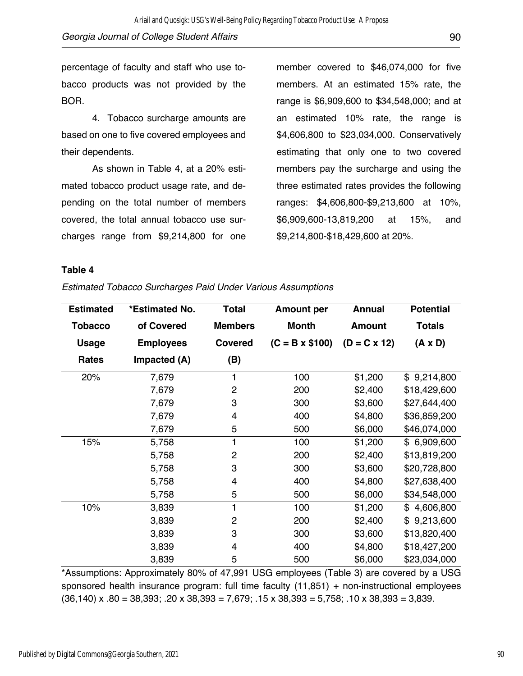4. Tobacco surcharge amounts are based on one to five covered employees and their dependents.

As shown in Table 4, at a 20% estimated tobacco product usage rate, and depending on the total number of members covered, the total annual tobacco use surcharges range from \$9,214,800 for one member covered to \$46,074,000 for five members. At an estimated 15% rate, the range is \$6,909,600 to \$34,548,000; and at an estimated 10% rate, the range is \$4,606,800 to \$23,034,000. Conservatively estimating that only one to two covered members pay the surcharge and using the three estimated rates provides the following ranges: \$4,606,800-\$9,213,600 at 10%, \$6,909,600-13,819,200 at 15%, and \$9,214,800-\$18,429,600 at 20%.

### **Table 4**

| <b>Estimated</b> | *Estimated No.   | <b>Total</b>   | <b>Amount per</b>     | <b>Annual</b>  | <b>Potential</b> |
|------------------|------------------|----------------|-----------------------|----------------|------------------|
| <b>Tobacco</b>   | of Covered       | <b>Members</b> | <b>Month</b>          | <b>Amount</b>  | <b>Totals</b>    |
| <b>Usage</b>     | <b>Employees</b> | <b>Covered</b> | $(C = B \times $100)$ | $(D = C x 12)$ | $(A \times D)$   |
| Rates            | Impacted (A)     | (B)            |                       |                |                  |
| 20%              | 7,679            | 1              | 100                   | \$1,200        | \$9,214,800      |
|                  | 7,679            | $\overline{2}$ | 200                   | \$2,400        | \$18,429,600     |
|                  | 7,679            | 3              | 300                   | \$3,600        | \$27,644,400     |
|                  | 7,679            | 4              | 400                   | \$4,800        | \$36,859,200     |
|                  | 7,679            | 5              | 500                   | \$6,000        | \$46,074,000     |
| 15%              | 5,758            | 1              | 100                   | \$1,200        | \$6,909,600      |
|                  | 5,758            | $\overline{2}$ | 200                   | \$2,400        | \$13,819,200     |
|                  | 5,758            | 3              | 300                   | \$3,600        | \$20,728,800     |
|                  | 5,758            | 4              | 400                   | \$4,800        | \$27,638,400     |
|                  | 5,758            | 5              | 500                   | \$6,000        | \$34,548,000     |
| 10%              | 3,839            | 1              | 100                   | \$1,200        | 4,606,800<br>\$  |
|                  | 3,839            | $\overline{c}$ | 200                   | \$2,400        | 9,213,600<br>\$  |
|                  | 3,839            | 3              | 300                   | \$3,600        | \$13,820,400     |
|                  | 3,839            | 4              | 400                   | \$4,800        | \$18,427,200     |
|                  | 3,839            | 5              | 500                   | \$6,000        | \$23,034,000     |

*Estimated Tobacco Surcharges Paid Under Various Assumptions* 

\*Assumptions: Approximately 80% of 47,991 USG employees (Table 3) are covered by a USG sponsored health insurance program: full time faculty (11,851) + non-instructional employees  $(36,140)$  x  $.80 = 38,393$ ;  $.20$  x  $38,393 = 7,679$ ;  $.15$  x  $38,393 = 5,758$ ;  $.10$  x  $38,393 = 3,839$ .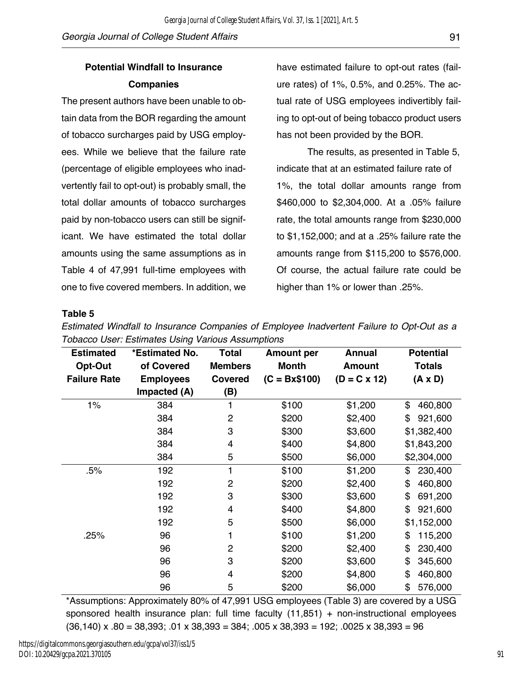## **Potential Windfall to Insurance Companies**

The present authors have been unable to obtain data from the BOR regarding the amount of tobacco surcharges paid by USG employees. While we believe that the failure rate (percentage of eligible employees who inadvertently fail to opt-out) is probably small, the total dollar amounts of tobacco surcharges paid by non-tobacco users can still be significant. We have estimated the total dollar amounts using the same assumptions as in Table 4 of 47,991 full-time employees with one to five covered members. In addition, we have estimated failure to opt-out rates (failure rates) of 1%, 0.5%, and 0.25%. The actual rate of USG employees indivertibly failing to opt-out of being tobacco product users has not been provided by the BOR.

The results, as presented in Table 5, indicate that at an estimated failure rate of 1%, the total dollar amounts range from \$460,000 to \$2,304,000. At a .05% failure rate, the total amounts range from \$230,000 to \$1,152,000; and at a .25% failure rate the amounts range from \$115,200 to \$576,000. Of course, the actual failure rate could be higher than 1% or lower than .25%.

### **Table 5**

| <b>Estimated</b>    | *Estimated No.   | <b>Total</b>   | <b>Amount per</b> | <b>Annual</b>  | <b>Potential</b> |
|---------------------|------------------|----------------|-------------------|----------------|------------------|
| Opt-Out             | of Covered       | <b>Members</b> | <b>Month</b>      | <b>Amount</b>  | Totals           |
| <b>Failure Rate</b> | <b>Employees</b> | <b>Covered</b> | $(C = Bx$100)$    | $(D = C x 12)$ | $(A \times D)$   |
|                     | Impacted (A)     | (B)            |                   |                |                  |
| 1%                  | 384              |                | \$100             | \$1,200        | \$<br>460,800    |
|                     | 384              | $\overline{2}$ | \$200             | \$2,400        | 921,600<br>\$    |
|                     | 384              | 3              | \$300             | \$3,600        | \$1,382,400      |
|                     | 384              | 4              | \$400             | \$4,800        | \$1,843,200      |
|                     | 384              | 5              | \$500             | \$6,000        | \$2,304,000      |
| .5%                 | 192              | 1              | \$100             | \$1,200        | \$<br>230,400    |
|                     | 192              | $\overline{2}$ | \$200             | \$2,400        | \$<br>460,800    |
|                     | 192              | 3              | \$300             | \$3,600        | \$<br>691,200    |
|                     | 192              | 4              | \$400             | \$4,800        | \$<br>921,600    |
|                     | 192              | 5              | \$500             | \$6,000        | \$1,152,000      |
| .25%                | 96               |                | \$100             | \$1,200        | \$<br>115,200    |
|                     | 96               | $\overline{2}$ | \$200             | \$2,400        | 230,400<br>\$    |
|                     | 96               | 3              | \$200             | \$3,600        | \$<br>345,600    |
|                     | 96               | 4              | \$200             | \$4,800        | \$<br>460,800    |
|                     | 96               | 5              | \$200             | \$6,000        | \$<br>576,000    |

*Estimated Windfall to Insurance Companies of Employee Inadvertent Failure to Opt-Out as a Tobacco User: Estimates Using Various Assumptions*

\*Assumptions: Approximately 80% of 47,991 USG employees (Table 3) are covered by a USG sponsored health insurance plan: full time faculty (11,851) + non-instructional employees  $(36,140)$  x  $.80 = 38,393$ ;  $.01 \times 38,393 = 384$ ;  $.005 \times 38,393 = 192$ ;  $.0025 \times 38,393 = 96$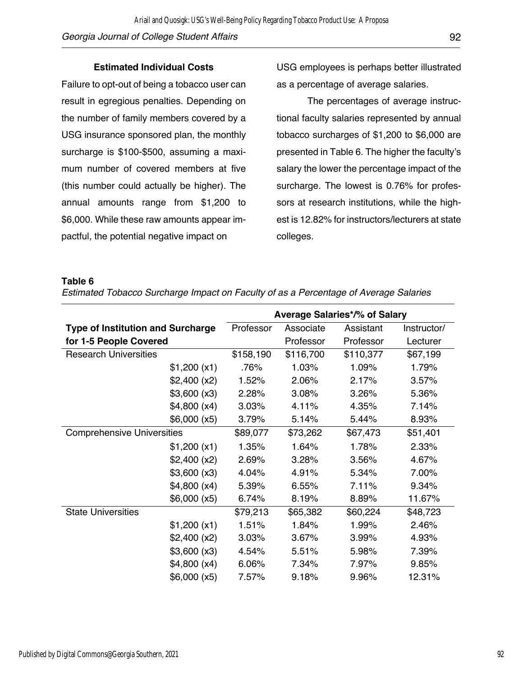### **Estimated Individual Costs**

Failure to opt-out of being a tobacco user can result in egregious penalties. Depending on the number of family members covered by a USG insurance sponsored plan, the monthly surcharge is \$100-\$500, assuming a maximum number of covered members at five (this number could actually be higher). The annual amounts range from \$1,200 to \$6,000. While these raw amounts appear impactful, the potential negative impact on

USG employees is perhaps better illustrated as a percentage of average salaries.

The percentages of average instructional faculty salaries represented by annual tobacco surcharges of \$1,200 to \$6,000 are presented in Table 6. The higher the faculty's salary the lower the percentage impact of the surcharge. The lowest is 0.76% for professors at research institutions, while the highest is 12.82% for instructors/lecturers at state colleges.

#### **Table 6**

*Estimated Tobacco Surcharge Impact on Faculty of as a Percentage of Average Salaries*

|                                          |              | <b>Average Salaries*/% of Salary</b> |           |           |             |  |
|------------------------------------------|--------------|--------------------------------------|-----------|-----------|-------------|--|
| <b>Type of Institution and Surcharge</b> |              | Professor                            | Associate | Assistant | Instructor/ |  |
| for 1-5 People Covered                   |              |                                      | Professor | Professor | Lecturer    |  |
| <b>Research Universities</b>             |              | \$158,190                            | \$116,700 | \$110,377 | \$67,199    |  |
|                                          | \$1,200 (x1) | .76%                                 | 1.03%     | 1.09%     | 1.79%       |  |
|                                          | \$2,400 (x2) | 1.52%                                | 2.06%     | 2.17%     | 3.57%       |  |
|                                          | \$3,600 (x3) | 2.28%                                | 3.08%     | 3.26%     | 5.36%       |  |
|                                          | \$4,800 (x4) | 3.03%                                | 4.11%     | 4.35%     | 7.14%       |  |
|                                          | \$6,000 (x5) | 3.79%                                | 5.14%     | 5.44%     | 8.93%       |  |
| <b>Comprehensive Universities</b>        |              | \$89,077                             | \$73,262  | \$67,473  | \$51,401    |  |
|                                          | \$1,200 (x1) | 1.35%                                | 1.64%     | 1.78%     | 2.33%       |  |
|                                          | \$2,400 (x2) | 2.69%                                | 3.28%     | 3.56%     | 4.67%       |  |
|                                          | \$3,600 (x3) | 4.04%                                | 4.91%     | 5.34%     | 7.00%       |  |
|                                          | \$4,800 (x4) | 5.39%                                | 6.55%     | 7.11%     | 9.34%       |  |
|                                          | \$6,000 (x5) | 6.74%                                | 8.19%     | 8.89%     | 11.67%      |  |
| <b>State Universities</b>                |              | \$79,213                             | \$65,382  | \$60,224  | \$48,723    |  |
|                                          | \$1,200 (x1) | 1.51%                                | 1.84%     | 1.99%     | 2.46%       |  |
|                                          | \$2,400 (x2) | 3.03%                                | 3.67%     | 3.99%     | 4.93%       |  |
|                                          | \$3,600 (x3) | 4.54%                                | 5.51%     | 5.98%     | 7.39%       |  |
|                                          | \$4,800 (x4) | 6.06%                                | 7.34%     | 7.97%     | 9.85%       |  |
|                                          | \$6,000 (x5) | 7.57%                                | 9.18%     | 9.96%     | 12.31%      |  |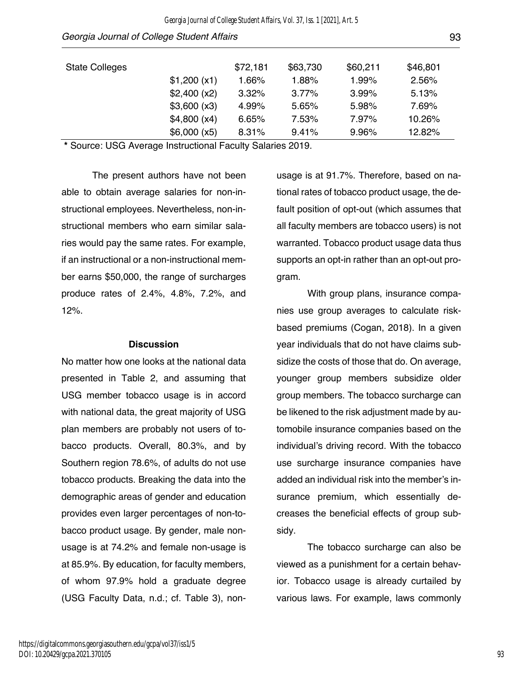| <b>State Colleges</b> |              | \$72,181 | \$63,730 | \$60,211 | \$46,801 |
|-----------------------|--------------|----------|----------|----------|----------|
|                       | \$1,200 (x1) | 1.66%    | 1.88%    | 1.99%    | 2.56%    |
|                       | \$2,400 (x2) | 3.32%    | $3.77\%$ | 3.99%    | 5.13%    |
|                       | \$3,600 (x3) | 4.99%    | 5.65%    | 5.98%    | 7.69%    |
|                       | \$4,800 (x4) | 6.65%    | 7.53%    | 7.97%    | 10.26%   |
|                       | \$6,000(x5)  | 8.31%    | 9.41%    | 9.96%    | 12.82%   |

**\*** Source: USG Average Instructional Faculty Salaries 2019.

The present authors have not been able to obtain average salaries for non-instructional employees. Nevertheless, non-instructional members who earn similar salaries would pay the same rates. For example, if an instructional or a non-instructional member earns \$50,000, the range of surcharges produce rates of 2.4%, 4.8%, 7.2%, and 12%.

#### **Discussion**

No matter how one looks at the national data presented in Table 2, and assuming that USG member tobacco usage is in accord with national data, the great majority of USG plan members are probably not users of tobacco products. Overall, 80.3%, and by Southern region 78.6%, of adults do not use tobacco products. Breaking the data into the demographic areas of gender and education provides even larger percentages of non-tobacco product usage. By gender, male nonusage is at 74.2% and female non-usage is at 85.9%. By education, for faculty members, of whom 97.9% hold a graduate degree (USG Faculty Data, n.d.; cf. Table 3), nonusage is at 91.7%. Therefore, based on national rates of tobacco product usage, the default position of opt-out (which assumes that all faculty members are tobacco users) is not warranted. Tobacco product usage data thus supports an opt-in rather than an opt-out program.

With group plans, insurance companies use group averages to calculate riskbased premiums (Cogan, 2018). In a given year individuals that do not have claims subsidize the costs of those that do. On average, younger group members subsidize older group members. The tobacco surcharge can be likened to the risk adjustment made by automobile insurance companies based on the individual's driving record. With the tobacco use surcharge insurance companies have added an individual risk into the member's insurance premium, which essentially decreases the beneficial effects of group subsidy.

The tobacco surcharge can also be viewed as a punishment for a certain behavior. Tobacco usage is already curtailed by various laws. For example, laws commonly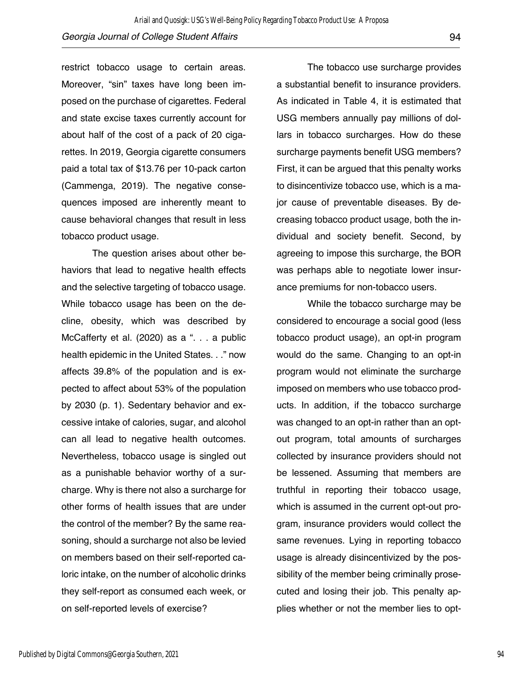restrict tobacco usage to certain areas. Moreover, "sin" taxes have long been imposed on the purchase of cigarettes. Federal and state excise taxes currently account for about half of the cost of a pack of 20 cigarettes. In 2019, Georgia cigarette consumers paid a total tax of \$13.76 per 10-pack carton (Cammenga, 2019). The negative consequences imposed are inherently meant to cause behavioral changes that result in less tobacco product usage.

The question arises about other behaviors that lead to negative health effects and the selective targeting of tobacco usage. While tobacco usage has been on the decline, obesity, which was described by McCafferty et al. (2020) as a ". . . a public health epidemic in the United States. . ." now affects 39.8% of the population and is expected to affect about 53% of the population by 2030 (p. 1). Sedentary behavior and excessive intake of calories, sugar, and alcohol can all lead to negative health outcomes. Nevertheless, tobacco usage is singled out as a punishable behavior worthy of a surcharge. Why is there not also a surcharge for other forms of health issues that are under the control of the member? By the same reasoning, should a surcharge not also be levied on members based on their self-reported caloric intake, on the number of alcoholic drinks they self-report as consumed each week, or on self-reported levels of exercise?

The tobacco use surcharge provides a substantial benefit to insurance providers. As indicated in Table 4, it is estimated that USG members annually pay millions of dollars in tobacco surcharges. How do these surcharge payments benefit USG members? First, it can be argued that this penalty works to disincentivize tobacco use, which is a major cause of preventable diseases. By decreasing tobacco product usage, both the individual and society benefit. Second, by agreeing to impose this surcharge, the BOR was perhaps able to negotiate lower insurance premiums for non-tobacco users.

While the tobacco surcharge may be considered to encourage a social good (less tobacco product usage), an opt-in program would do the same. Changing to an opt-in program would not eliminate the surcharge imposed on members who use tobacco products. In addition, if the tobacco surcharge was changed to an opt-in rather than an optout program, total amounts of surcharges collected by insurance providers should not be lessened. Assuming that members are truthful in reporting their tobacco usage, which is assumed in the current opt-out program, insurance providers would collect the same revenues. Lying in reporting tobacco usage is already disincentivized by the possibility of the member being criminally prosecuted and losing their job. This penalty applies whether or not the member lies to opt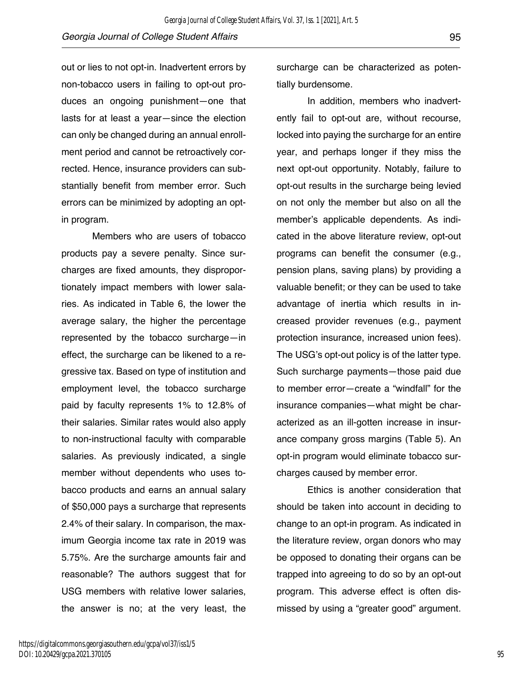out or lies to not opt-in. Inadvertent errors by non-tobacco users in failing to opt-out produces an ongoing punishment—one that lasts for at least a year—since the election can only be changed during an annual enrollment period and cannot be retroactively corrected. Hence, insurance providers can substantially benefit from member error. Such errors can be minimized by adopting an opt-

in program.

Members who are users of tobacco products pay a severe penalty. Since surcharges are fixed amounts, they disproportionately impact members with lower salaries. As indicated in Table 6, the lower the average salary, the higher the percentage represented by the tobacco surcharge—in effect, the surcharge can be likened to a regressive tax. Based on type of institution and employment level, the tobacco surcharge paid by faculty represents 1% to 12.8% of their salaries. Similar rates would also apply to non-instructional faculty with comparable salaries. As previously indicated, a single member without dependents who uses tobacco products and earns an annual salary of \$50,000 pays a surcharge that represents 2.4% of their salary. In comparison, the maximum Georgia income tax rate in 2019 was 5.75%. Are the surcharge amounts fair and reasonable? The authors suggest that for USG members with relative lower salaries, the answer is no; at the very least, the

surcharge can be characterized as potentially burdensome.

In addition, members who inadvertently fail to opt-out are, without recourse, locked into paying the surcharge for an entire year, and perhaps longer if they miss the next opt-out opportunity. Notably, failure to opt-out results in the surcharge being levied on not only the member but also on all the member's applicable dependents. As indicated in the above literature review, opt-out programs can benefit the consumer (e.g., pension plans, saving plans) by providing a valuable benefit; or they can be used to take advantage of inertia which results in increased provider revenues (e.g., payment protection insurance, increased union fees). The USG's opt-out policy is of the latter type. Such surcharge payments—those paid due to member error—create a "windfall" for the insurance companies—what might be characterized as an ill-gotten increase in insurance company gross margins (Table 5). An opt-in program would eliminate tobacco surcharges caused by member error.

Ethics is another consideration that should be taken into account in deciding to change to an opt-in program. As indicated in the literature review, organ donors who may be opposed to donating their organs can be trapped into agreeing to do so by an opt-out program. This adverse effect is often dismissed by using a "greater good" argument.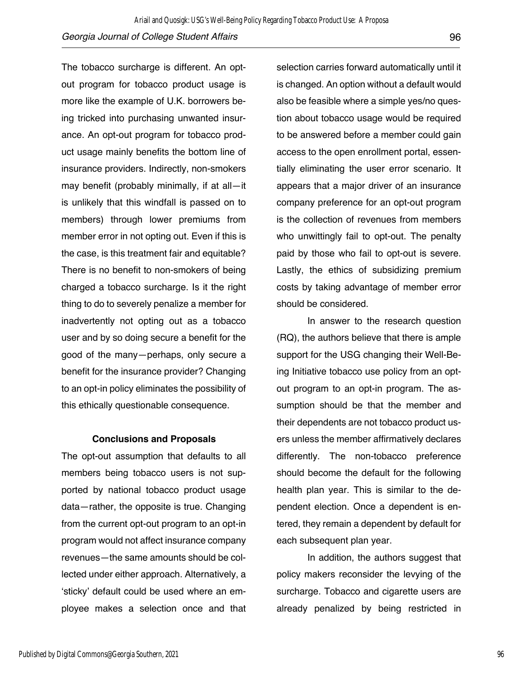The tobacco surcharge is different. An optout program for tobacco product usage is more like the example of U.K. borrowers being tricked into purchasing unwanted insurance. An opt-out program for tobacco product usage mainly benefits the bottom line of insurance providers. Indirectly, non-smokers may benefit (probably minimally, if at all—it is unlikely that this windfall is passed on to members) through lower premiums from member error in not opting out. Even if this is the case, is this treatment fair and equitable? There is no benefit to non-smokers of being charged a tobacco surcharge. Is it the right thing to do to severely penalize a member for inadvertently not opting out as a tobacco user and by so doing secure a benefit for the good of the many—perhaps, only secure a benefit for the insurance provider? Changing to an opt-in policy eliminates the possibility of this ethically questionable consequence.

#### **Conclusions and Proposals**

The opt-out assumption that defaults to all members being tobacco users is not supported by national tobacco product usage data—rather, the opposite is true. Changing from the current opt-out program to an opt-in program would not affect insurance company revenues—the same amounts should be collected under either approach. Alternatively, a 'sticky' default could be used where an employee makes a selection once and that selection carries forward automatically until it is changed. An option without a default would also be feasible where a simple yes/no question about tobacco usage would be required to be answered before a member could gain access to the open enrollment portal, essentially eliminating the user error scenario. It appears that a major driver of an insurance company preference for an opt-out program is the collection of revenues from members who unwittingly fail to opt-out. The penalty paid by those who fail to opt-out is severe. Lastly, the ethics of subsidizing premium costs by taking advantage of member error should be considered.

In answer to the research question (RQ), the authors believe that there is ample support for the USG changing their Well-Being Initiative tobacco use policy from an optout program to an opt-in program. The assumption should be that the member and their dependents are not tobacco product users unless the member affirmatively declares differently. The non-tobacco preference should become the default for the following health plan year. This is similar to the dependent election. Once a dependent is entered, they remain a dependent by default for each subsequent plan year.

In addition, the authors suggest that policy makers reconsider the levying of the surcharge. Tobacco and cigarette users are already penalized by being restricted in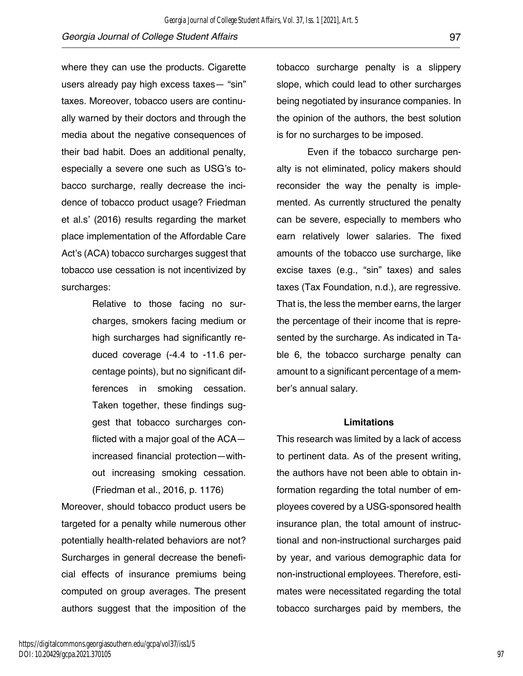where they can use the products. Cigarette users already pay high excess taxes— "sin" taxes. Moreover, tobacco users are continually warned by their doctors and through the media about the negative consequences of their bad habit. Does an additional penalty, especially a severe one such as USG's tobacco surcharge, really decrease the incidence of tobacco product usage? Friedman et al.s' (2016) results regarding the market place implementation of the Affordable Care Act's (ACA) tobacco surcharges suggest that tobacco use cessation is not incentivized by surcharges:

> Relative to those facing no surcharges, smokers facing medium or high surcharges had significantly reduced coverage (-4.4 to -11.6 percentage points), but no significant differences in smoking cessation. Taken together, these findings suggest that tobacco surcharges conflicted with a major goal of the ACA increased financial protection—without increasing smoking cessation. (Friedman et al., 2016, p. 1176)

Moreover, should tobacco product users be targeted for a penalty while numerous other potentially health-related behaviors are not? Surcharges in general decrease the beneficial effects of insurance premiums being computed on group averages. The present authors suggest that the imposition of the tobacco surcharge penalty is a slippery slope, which could lead to other surcharges being negotiated by insurance companies. In the opinion of the authors, the best solution is for no surcharges to be imposed.

Even if the tobacco surcharge penalty is not eliminated, policy makers should reconsider the way the penalty is implemented. As currently structured the penalty can be severe, especially to members who earn relatively lower salaries. The fixed amounts of the tobacco use surcharge, like excise taxes (e.g., "sin" taxes) and sales taxes (Tax Foundation, n.d.), are regressive. That is, the less the member earns, the larger the percentage of their income that is represented by the surcharge. As indicated in Table 6, the tobacco surcharge penalty can amount to a significant percentage of a member's annual salary.

#### **Limitations**

This research was limited by a lack of access to pertinent data. As of the present writing, the authors have not been able to obtain information regarding the total number of employees covered by a USG-sponsored health insurance plan, the total amount of instructional and non-instructional surcharges paid by year, and various demographic data for non-instructional employees. Therefore, estimates were necessitated regarding the total tobacco surcharges paid by members, the

97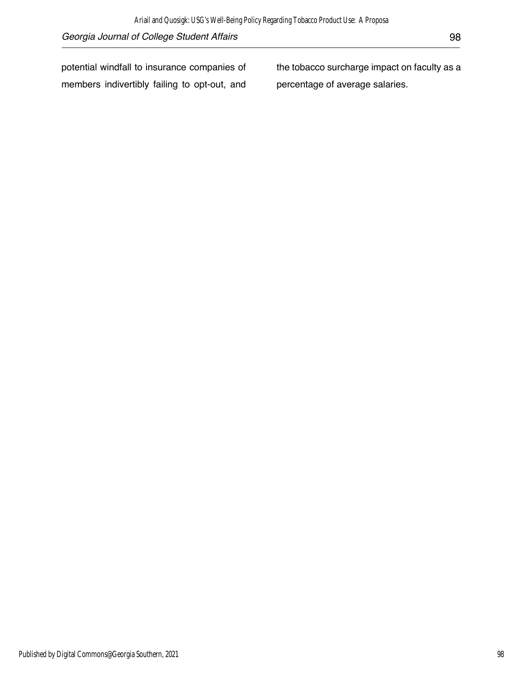potential windfall to insurance companies of members indivertibly failing to opt-out, and the tobacco surcharge impact on faculty as a percentage of average salaries.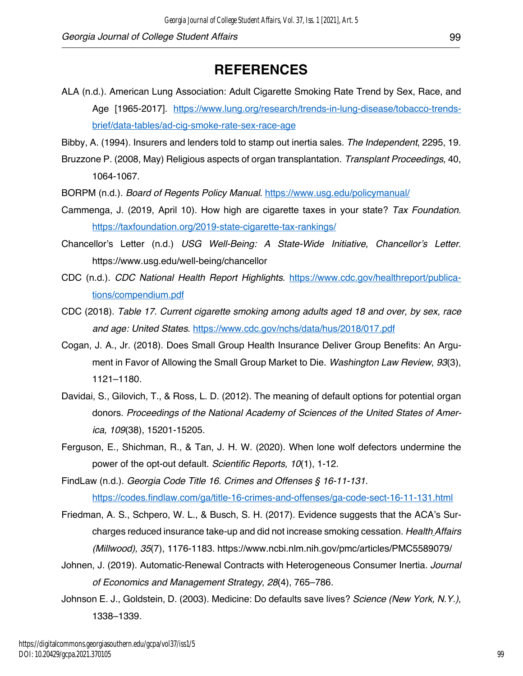# **REFERENCES**

- ALA (n.d.). American Lung Association: Adult Cigarette Smoking Rate Trend by Sex, Race, and Age [1965-2017]. https://www.lung.org/research/trends-in-lung-disease/tobacco-trendsbrief/data-tables/ad-cig-smoke-rate-sex-race-age
- Bibby, A. (1994). Insurers and lenders told to stamp out inertia sales. *The Independent*, 2295, 19.
- Bruzzone P. (2008, May) Religious aspects of organ transplantation. *Transplant Proceedings*, 40, 1064-1067.
- BORPM (n.d.). *Board of Regents Policy Manual*. https://www.usg.edu/policymanual/
- Cammenga, J. (2019, April 10). How high are cigarette taxes in your state? *Tax Foundation*. https://taxfoundation.org/2019-state-cigarette-tax-rankings/
- Chancellor's Letter (n.d.) *USG Well-Being: A State-Wide Initiative, Chancellor's Letter*. https://www.usg.edu/well-being/chancellor
- CDC (n.d.). *CDC National Health Report Highlights*. https://www.cdc.gov/healthreport/publications/compendium.pdf
- CDC (2018). *Table 17. Current cigarette smoking among adults aged 18 and over, by sex, race and age: United States*. https://www.cdc.gov/nchs/data/hus/2018/017.pdf
- Cogan, J. A., Jr. (2018). Does Small Group Health Insurance Deliver Group Benefits: An Argument in Favor of Allowing the Small Group Market to Die. *Washington Law Review*, *93*(3), 1121–1180.
- Davidai, S., Gilovich, T., & Ross, L. D. (2012). The meaning of default options for potential organ donors. *Proceedings of the National Academy of Sciences of the United States of America, 109*(38), 15201-15205.
- Ferguson, E., Shichman, R., & Tan, J. H. W. (2020). When lone wolf defectors undermine the power of the opt-out default. *Scientific Reports, 10*(1), 1-12.
- FindLaw (n.d.). *Georgia Code Title 16. Crimes and Offenses § 16-11-131*. https://codes.findlaw.com/ga/title-16-crimes-and-offenses/ga-code-sect-16-11-131.html
- Friedman, A. S., Schpero, W. L., & Busch, S. H. (2017). Evidence suggests that the ACA's Surcharges reduced insurance take-up and did not increase smoking cessation. *Health Affairs (Millwood), 35*(7), 1176-1183. https://www.ncbi.nlm.nih.gov/pmc/articles/PMC5589079/
- Johnen, J. (2019). Automatic-Renewal Contracts with Heterogeneous Consumer Inertia. *Journal of Economics and Management Strategy*, *28*(4), 765–786.
- Johnson E. J., Goldstein, D. (2003). Medicine: Do defaults save lives? *Science (New York, N.Y.)*, 1338–1339.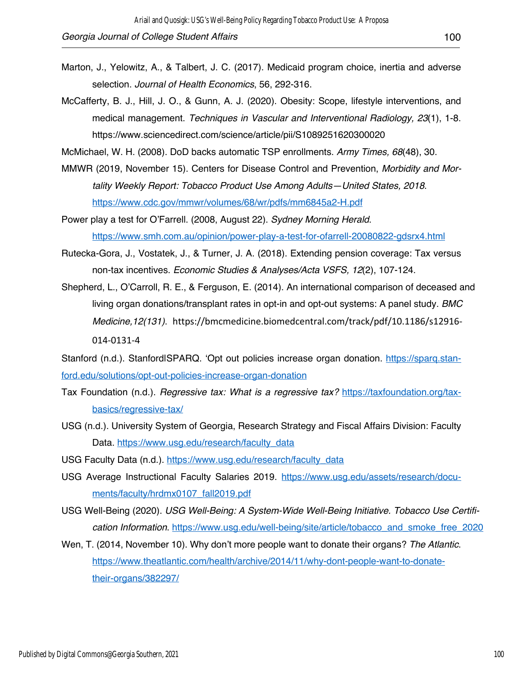- Marton, J., Yelowitz, A., & Talbert, J. C. (2017). Medicaid program choice, inertia and adverse selection. *Journal of Health Economics*, 56, 292-316.
- McCafferty, B. J., Hill, J. O., & Gunn, A. J. (2020). Obesity: Scope, lifestyle interventions, and medical management. *Techniques in Vascular and Interventional Radiology, 23*(1), 1-8. https://www.sciencedirect.com/science/article/pii/S1089251620300020

McMichael, W. H. (2008). DoD backs automatic TSP enrollments. *Army Times, 68*(48), 30.

MMWR (2019, November 15). Centers for Disease Control and Prevention, *Morbidity and Mortality Weekly Report: Tobacco Product Use Among Adults—United States, 2018*. https://www.cdc.gov/mmwr/volumes/68/wr/pdfs/mm6845a2-H.pdf

Power play a test for O'Farrell. (2008, August 22). *Sydney Morning Herald*. https://www.smh.com.au/opinion/power-play-a-test-for-ofarrell-20080822-gdsrx4.html

- Rutecka-Gora, J., Vostatek, J., & Turner, J. A. (2018). Extending pension coverage: Tax versus non-tax incentives. *Economic Studies & Analyses/Acta VSFS, 12*(2), 107-124.
- Shepherd, L., O'Carroll, R. E., & Ferguson, E. (2014). An international comparison of deceased and living organ donations/transplant rates in opt-in and opt-out systems: A panel study. *BMC Medicine,12(131)*. https://bmcmedicine.biomedcentral.com/track/pdf/10.1186/s12916- 014-0131-4

Stanford (n.d.). StanfordISPARQ. 'Opt out policies increase organ donation. https://sparq.stanford.edu/solutions/opt-out-policies-increase-organ-donation

- Tax Foundation (n.d.). *Regressive tax: What is a regressive tax?* https://taxfoundation.org/taxbasics/regressive-tax/
- USG (n.d.). University System of Georgia, Research Strategy and Fiscal Affairs Division: Faculty Data. https://www.usg.edu/research/faculty\_data
- USG Faculty Data (n.d.). https://www.usg.edu/research/faculty\_data
- USG Average Instructional Faculty Salaries 2019. https://www.usg.edu/assets/research/documents/faculty/hrdmx0107\_fall2019.pdf
- USG Well-Being (2020). *USG Well-Being: A System-Wide Well-Being Initiative. Tobacco Use Certification Information*. https://www.usg.edu/well-being/site/article/tobacco\_and\_smoke\_free\_2020
- Wen, T. (2014, November 10). Why don't more people want to donate their organs? *The Atlantic*. https://www.theatlantic.com/health/archive/2014/11/why-dont-people-want-to-donatetheir-organs/382297/